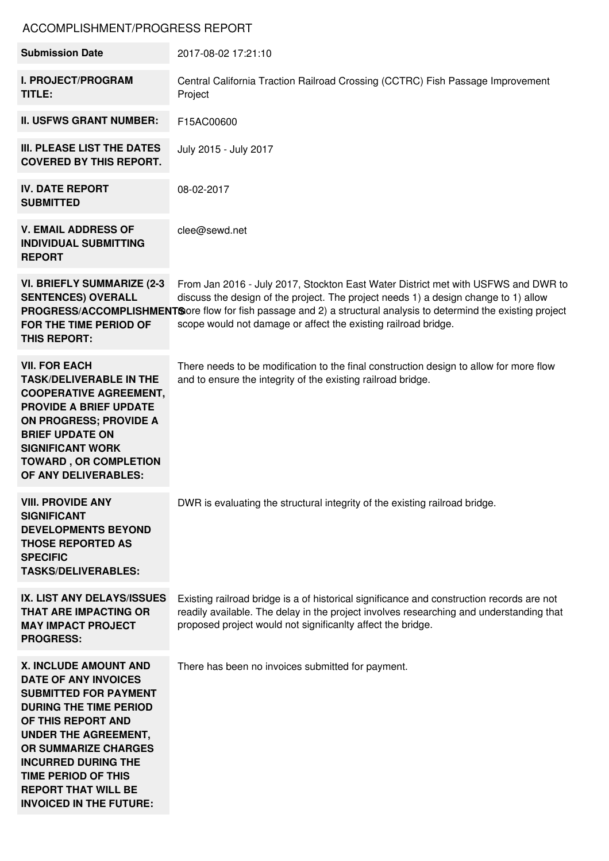## ACCOMPLISHMENT/PROGRESS REPORT

| <b>Submission Date</b>                                                                                                                                                                                                                                                                                                                       | 2017-08-02 17:21:10                                                                                                                                                                                                                                                                                                                                             |
|----------------------------------------------------------------------------------------------------------------------------------------------------------------------------------------------------------------------------------------------------------------------------------------------------------------------------------------------|-----------------------------------------------------------------------------------------------------------------------------------------------------------------------------------------------------------------------------------------------------------------------------------------------------------------------------------------------------------------|
| <b>I. PROJECT/PROGRAM</b><br>TITLE:                                                                                                                                                                                                                                                                                                          | Central California Traction Railroad Crossing (CCTRC) Fish Passage Improvement<br>Project                                                                                                                                                                                                                                                                       |
| <b>II. USFWS GRANT NUMBER:</b>                                                                                                                                                                                                                                                                                                               | F15AC00600                                                                                                                                                                                                                                                                                                                                                      |
| III. PLEASE LIST THE DATES<br><b>COVERED BY THIS REPORT.</b>                                                                                                                                                                                                                                                                                 | July 2015 - July 2017                                                                                                                                                                                                                                                                                                                                           |
| <b>IV. DATE REPORT</b><br><b>SUBMITTED</b>                                                                                                                                                                                                                                                                                                   | 08-02-2017                                                                                                                                                                                                                                                                                                                                                      |
| <b>V. EMAIL ADDRESS OF</b><br><b>INDIVIDUAL SUBMITTING</b><br><b>REPORT</b>                                                                                                                                                                                                                                                                  | clee@sewd.net                                                                                                                                                                                                                                                                                                                                                   |
| <b>VI. BRIEFLY SUMMARIZE (2-3)</b><br><b>SENTENCES) OVERALL</b><br>FOR THE TIME PERIOD OF<br>THIS REPORT:                                                                                                                                                                                                                                    | From Jan 2016 - July 2017, Stockton East Water District met with USFWS and DWR to<br>discuss the design of the project. The project needs 1) a design change to 1) allow<br>PROGRESS/ACCOMPLISHMENTS ore flow for fish passage and 2) a structural analysis to determind the existing project<br>scope would not damage or affect the existing railroad bridge. |
| <b>VII. FOR EACH</b><br><b>TASK/DELIVERABLE IN THE</b><br><b>COOPERATIVE AGREEMENT,</b><br><b>PROVIDE A BRIEF UPDATE</b><br><b>ON PROGRESS; PROVIDE A</b><br><b>BRIEF UPDATE ON</b><br><b>SIGNIFICANT WORK</b><br><b>TOWARD, OR COMPLETION</b><br>OF ANY DELIVERABLES:                                                                       | There needs to be modification to the final construction design to allow for more flow<br>and to ensure the integrity of the existing railroad bridge.                                                                                                                                                                                                          |
| <b>VIII. PROVIDE ANY</b><br><b>SIGNIFICANT</b><br><b>DEVELOPMENTS BEYOND</b><br><b>THOSE REPORTED AS</b><br><b>SPECIFIC</b><br><b>TASKS/DELIVERABLES:</b>                                                                                                                                                                                    | DWR is evaluating the structural integrity of the existing railroad bridge.                                                                                                                                                                                                                                                                                     |
| IX. LIST ANY DELAYS/ISSUES<br><b>THAT ARE IMPACTING OR</b><br><b>MAY IMPACT PROJECT</b><br><b>PROGRESS:</b>                                                                                                                                                                                                                                  | Existing railroad bridge is a of historical significance and construction records are not<br>readily available. The delay in the project involves researching and understanding that<br>proposed project would not significanlty affect the bridge.                                                                                                             |
| <b>X. INCLUDE AMOUNT AND</b><br><b>DATE OF ANY INVOICES</b><br><b>SUBMITTED FOR PAYMENT</b><br><b>DURING THE TIME PERIOD</b><br>OF THIS REPORT AND<br><b>UNDER THE AGREEMENT,</b><br><b>OR SUMMARIZE CHARGES</b><br><b>INCURRED DURING THE</b><br><b>TIME PERIOD OF THIS</b><br><b>REPORT THAT WILL BE</b><br><b>INVOICED IN THE FUTURE:</b> | There has been no invoices submitted for payment.                                                                                                                                                                                                                                                                                                               |